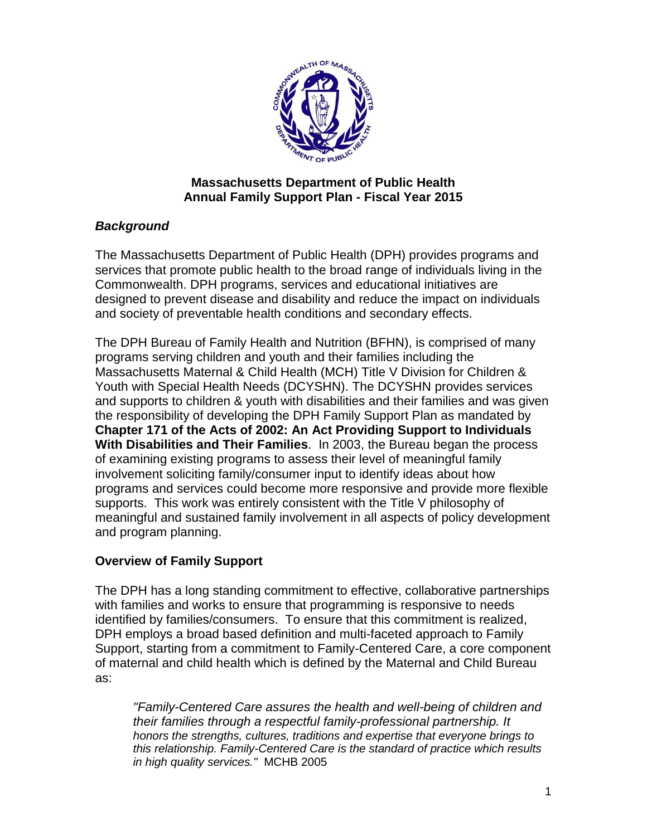

## **Massachusetts Department of Public Health Annual Family Support Plan - Fiscal Year 2015**

# *Background*

The Massachusetts Department of Public Health (DPH) provides programs and services that promote public health to the broad range of individuals living in the Commonwealth. DPH programs, services and educational initiatives are designed to prevent disease and disability and reduce the impact on individuals and society of preventable health conditions and secondary effects.

The DPH Bureau of Family Health and Nutrition (BFHN), is comprised of many programs serving children and youth and their families including the Massachusetts Maternal & Child Health (MCH) Title V Division for Children & Youth with Special Health Needs (DCYSHN). The DCYSHN provides services and supports to children & youth with disabilities and their families and was given the responsibility of developing the DPH Family Support Plan as mandated by **Chapter 171 of the Acts of 2002: An Act Providing Support to Individuals With Disabilities and Their Families**. In 2003, the Bureau began the process of examining existing programs to assess their level of meaningful family involvement soliciting family/consumer input to identify ideas about how programs and services could become more responsive and provide more flexible supports. This work was entirely consistent with the Title V philosophy of meaningful and sustained family involvement in all aspects of policy development and program planning.

# **Overview of Family Support**

The DPH has a long standing commitment to effective, collaborative partnerships with families and works to ensure that programming is responsive to needs identified by families/consumers. To ensure that this commitment is realized, DPH employs a broad based definition and multi-faceted approach to Family Support, starting from a commitment to Family-Centered Care, a core component of maternal and child health which is defined by the Maternal and Child Bureau as:

*"Family-Centered Care assures the health and well-being of children and their families through a respectful family-professional partnership. It honors the strengths, cultures, traditions and expertise that everyone brings to this relationship. Family-Centered Care is the standard of practice which results in high quality services."* MCHB 2005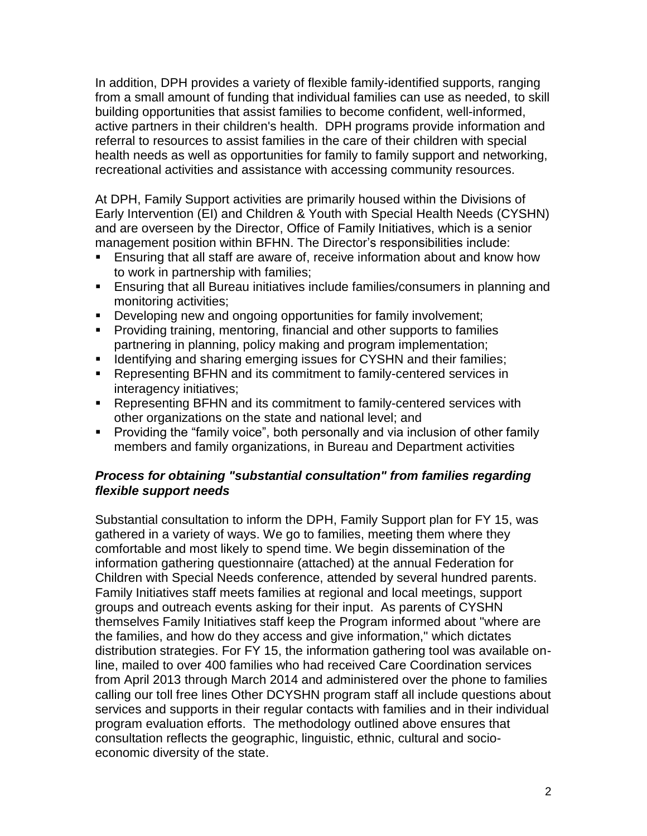In addition, DPH provides a variety of flexible family-identified supports, ranging from a small amount of funding that individual families can use as needed, to skill building opportunities that assist families to become confident, well-informed, active partners in their children's health. DPH programs provide information and referral to resources to assist families in the care of their children with special health needs as well as opportunities for family to family support and networking, recreational activities and assistance with accessing community resources.

At DPH, Family Support activities are primarily housed within the Divisions of Early Intervention (EI) and Children & Youth with Special Health Needs (CYSHN) and are overseen by the Director, Office of Family Initiatives, which is a senior management position within BFHN. The Director's responsibilities include:

- Ensuring that all staff are aware of, receive information about and know how to work in partnership with families;
- Ensuring that all Bureau initiatives include families/consumers in planning and monitoring activities;
- Developing new and ongoing opportunities for family involvement;
- Providing training, mentoring, financial and other supports to families partnering in planning, policy making and program implementation;
- **If Identifying and sharing emerging issues for CYSHN and their families;**
- Representing BFHN and its commitment to family-centered services in interagency initiatives;
- Representing BFHN and its commitment to family-centered services with other organizations on the state and national level; and
- **Providing the "family voice", both personally and via inclusion of other family** members and family organizations, in Bureau and Department activities

## *Process for obtaining "substantial consultation" from families regarding flexible support needs*

Substantial consultation to inform the DPH, Family Support plan for FY 15, was gathered in a variety of ways. We go to families, meeting them where they comfortable and most likely to spend time. We begin dissemination of the information gathering questionnaire (attached) at the annual Federation for Children with Special Needs conference, attended by several hundred parents. Family Initiatives staff meets families at regional and local meetings, support groups and outreach events asking for their input. As parents of CYSHN themselves Family Initiatives staff keep the Program informed about "where are the families, and how do they access and give information," which dictates distribution strategies. For FY 15, the information gathering tool was available online, mailed to over 400 families who had received Care Coordination services from April 2013 through March 2014 and administered over the phone to families calling our toll free lines Other DCYSHN program staff all include questions about services and supports in their regular contacts with families and in their individual program evaluation efforts. The methodology outlined above ensures that consultation reflects the geographic, linguistic, ethnic, cultural and socioeconomic diversity of the state.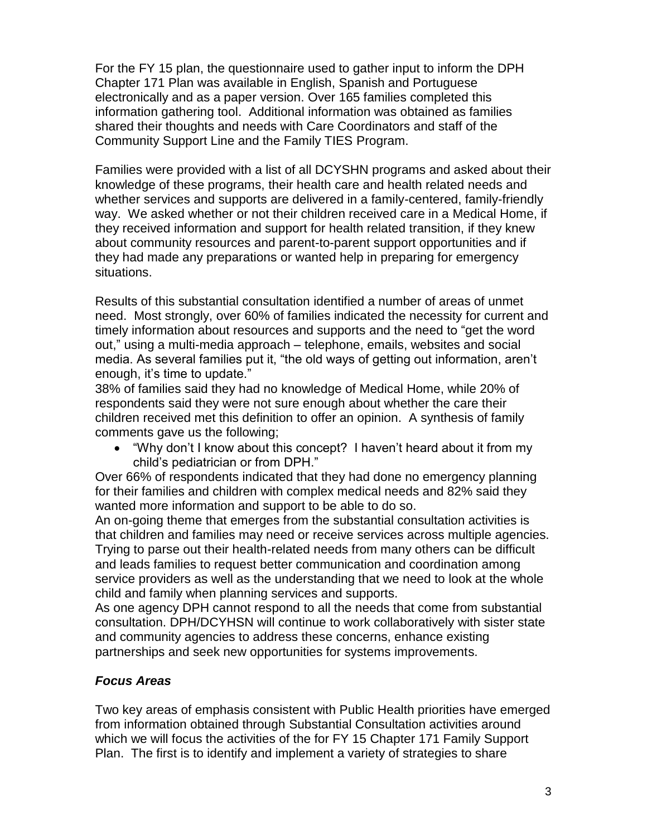For the FY 15 plan, the questionnaire used to gather input to inform the DPH Chapter 171 Plan was available in English, Spanish and Portuguese electronically and as a paper version. Over 165 families completed this information gathering tool. Additional information was obtained as families shared their thoughts and needs with Care Coordinators and staff of the Community Support Line and the Family TIES Program.

Families were provided with a list of all DCYSHN programs and asked about their knowledge of these programs, their health care and health related needs and whether services and supports are delivered in a family-centered, family-friendly way. We asked whether or not their children received care in a Medical Home, if they received information and support for health related transition, if they knew about community resources and parent-to-parent support opportunities and if they had made any preparations or wanted help in preparing for emergency situations.

Results of this substantial consultation identified a number of areas of unmet need. Most strongly, over 60% of families indicated the necessity for current and timely information about resources and supports and the need to "get the word out," using a multi-media approach – telephone, emails, websites and social media. As several families put it, "the old ways of getting out information, aren't enough, it's time to update."

38% of families said they had no knowledge of Medical Home, while 20% of respondents said they were not sure enough about whether the care their children received met this definition to offer an opinion. A synthesis of family comments gave us the following;

 "Why don't I know about this concept? I haven't heard about it from my child's pediatrician or from DPH."

Over 66% of respondents indicated that they had done no emergency planning for their families and children with complex medical needs and 82% said they wanted more information and support to be able to do so.

An on-going theme that emerges from the substantial consultation activities is that children and families may need or receive services across multiple agencies. Trying to parse out their health-related needs from many others can be difficult and leads families to request better communication and coordination among service providers as well as the understanding that we need to look at the whole child and family when planning services and supports.

As one agency DPH cannot respond to all the needs that come from substantial consultation. DPH/DCYHSN will continue to work collaboratively with sister state and community agencies to address these concerns, enhance existing partnerships and seek new opportunities for systems improvements.

## *Focus Areas*

Two key areas of emphasis consistent with Public Health priorities have emerged from information obtained through Substantial Consultation activities around which we will focus the activities of the for FY 15 Chapter 171 Family Support Plan. The first is to identify and implement a variety of strategies to share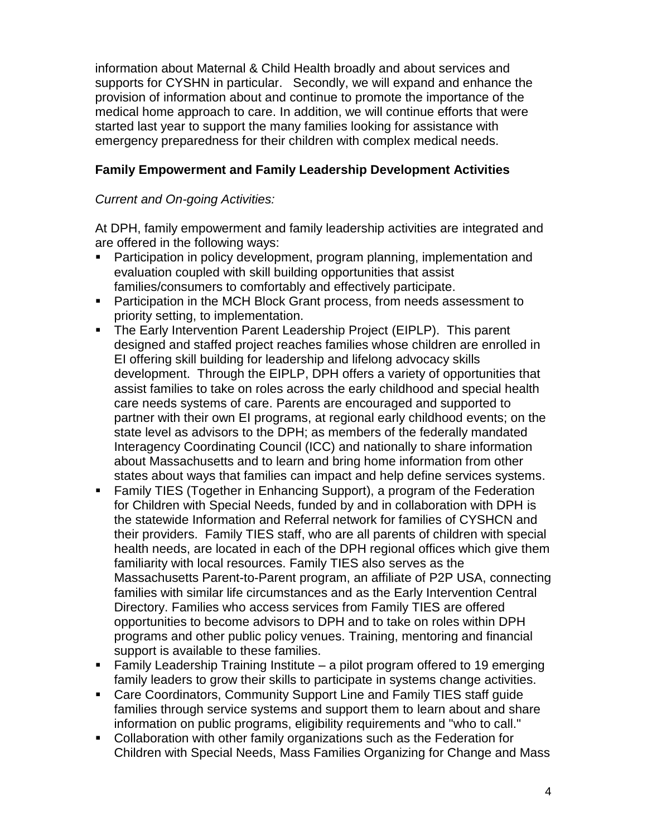information about Maternal & Child Health broadly and about services and supports for CYSHN in particular. Secondly, we will expand and enhance the provision of information about and continue to promote the importance of the medical home approach to care. In addition, we will continue efforts that were started last year to support the many families looking for assistance with emergency preparedness for their children with complex medical needs.

# **Family Empowerment and Family Leadership Development Activities**

## *Current and On-going Activities:*

At DPH, family empowerment and family leadership activities are integrated and are offered in the following ways:

- **Participation in policy development, program planning, implementation and** evaluation coupled with skill building opportunities that assist families/consumers to comfortably and effectively participate.
- **Participation in the MCH Block Grant process, from needs assessment to** priority setting, to implementation.
- The Early Intervention Parent Leadership Project (EIPLP). This parent designed and staffed project reaches families whose children are enrolled in EI offering skill building for leadership and lifelong advocacy skills development. Through the EIPLP, DPH offers a variety of opportunities that assist families to take on roles across the early childhood and special health care needs systems of care. Parents are encouraged and supported to partner with their own EI programs, at regional early childhood events; on the state level as advisors to the DPH; as members of the federally mandated Interagency Coordinating Council (ICC) and nationally to share information about Massachusetts and to learn and bring home information from other states about ways that families can impact and help define services systems.
- Family TIES (Together in Enhancing Support), a program of the Federation for Children with Special Needs, funded by and in collaboration with DPH is the statewide Information and Referral network for families of CYSHCN and their providers. Family TIES staff, who are all parents of children with special health needs, are located in each of the DPH regional offices which give them familiarity with local resources. Family TIES also serves as the Massachusetts Parent-to-Parent program, an affiliate of P2P USA, connecting families with similar life circumstances and as the Early Intervention Central Directory. Families who access services from Family TIES are offered opportunities to become advisors to DPH and to take on roles within DPH programs and other public policy venues. Training, mentoring and financial support is available to these families.
- Family Leadership Training Institute a pilot program offered to 19 emerging family leaders to grow their skills to participate in systems change activities.
- Care Coordinators, Community Support Line and Family TIES staff guide families through service systems and support them to learn about and share information on public programs, eligibility requirements and "who to call."
- Collaboration with other family organizations such as the Federation for Children with Special Needs, Mass Families Organizing for Change and Mass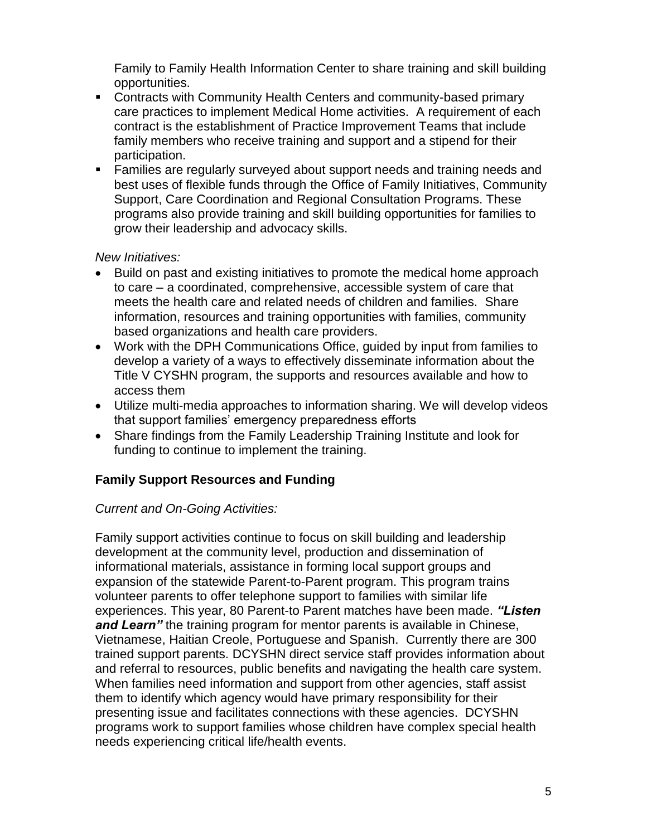Family to Family Health Information Center to share training and skill building opportunities.

- Contracts with Community Health Centers and community-based primary care practices to implement Medical Home activities. A requirement of each contract is the establishment of Practice Improvement Teams that include family members who receive training and support and a stipend for their participation.
- Families are regularly surveyed about support needs and training needs and best uses of flexible funds through the Office of Family Initiatives, Community Support, Care Coordination and Regional Consultation Programs. These programs also provide training and skill building opportunities for families to grow their leadership and advocacy skills.

## *New Initiatives:*

- Build on past and existing initiatives to promote the medical home approach to care – a coordinated, comprehensive, accessible system of care that meets the health care and related needs of children and families. Share information, resources and training opportunities with families, community based organizations and health care providers.
- Work with the DPH Communications Office, guided by input from families to develop a variety of a ways to effectively disseminate information about the Title V CYSHN program, the supports and resources available and how to access them
- Utilize multi-media approaches to information sharing. We will develop videos that support families' emergency preparedness efforts
- Share findings from the Family Leadership Training Institute and look for funding to continue to implement the training.

## **Family Support Resources and Funding**

## *Current and On-Going Activities:*

Family support activities continue to focus on skill building and leadership development at the community level, production and dissemination of informational materials, assistance in forming local support groups and expansion of the statewide Parent-to-Parent program. This program trains volunteer parents to offer telephone support to families with similar life experiences. This year, 80 Parent-to Parent matches have been made. *"Listen*  **and Learn**" the training program for mentor parents is available in Chinese, Vietnamese, Haitian Creole, Portuguese and Spanish. Currently there are 300 trained support parents. DCYSHN direct service staff provides information about and referral to resources, public benefits and navigating the health care system. When families need information and support from other agencies, staff assist them to identify which agency would have primary responsibility for their presenting issue and facilitates connections with these agencies. DCYSHN programs work to support families whose children have complex special health needs experiencing critical life/health events.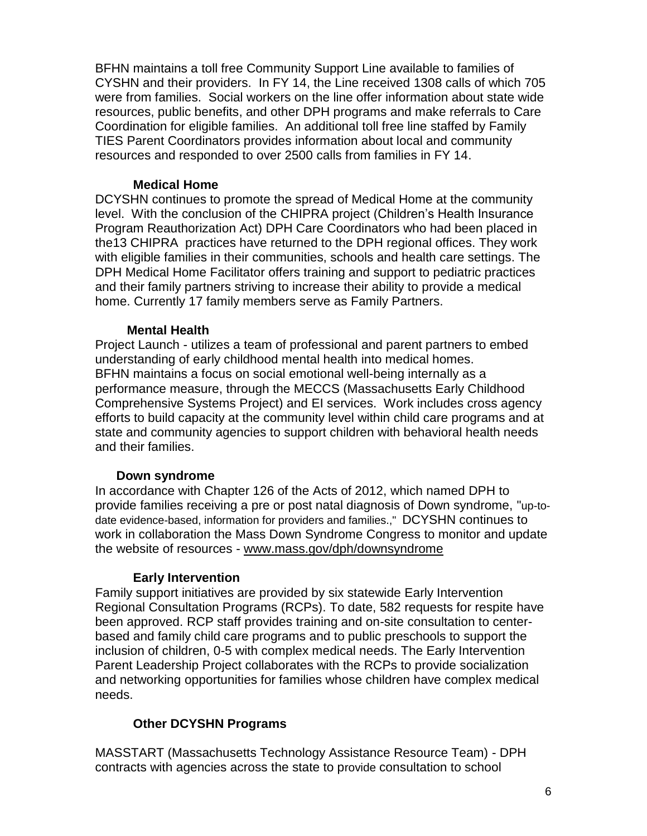BFHN maintains a toll free Community Support Line available to families of CYSHN and their providers. In FY 14, the Line received 1308 calls of which 705 were from families. Social workers on the line offer information about state wide resources, public benefits, and other DPH programs and make referrals to Care Coordination for eligible families. An additional toll free line staffed by Family TIES Parent Coordinators provides information about local and community resources and responded to over 2500 calls from families in FY 14.

### **Medical Home**

DCYSHN continues to promote the spread of Medical Home at the community level. With the conclusion of the CHIPRA project (Children's Health Insurance Program Reauthorization Act) DPH Care Coordinators who had been placed in the13 CHIPRA practices have returned to the DPH regional offices. They work with eligible families in their communities, schools and health care settings. The DPH Medical Home Facilitator offers training and support to pediatric practices and their family partners striving to increase their ability to provide a medical home. Currently 17 family members serve as Family Partners.

#### **Mental Health**

Project Launch - utilizes a team of professional and parent partners to embed understanding of early childhood mental health into medical homes. BFHN maintains a focus on social emotional well-being internally as a performance measure, through the MECCS (Massachusetts Early Childhood Comprehensive Systems Project) and EI services. Work includes cross agency efforts to build capacity at the community level within child care programs and at state and community agencies to support children with behavioral health needs and their families.

#### **Down syndrome**

In accordance with Chapter 126 of the Acts of 2012, which named DPH to provide families receiving a pre or post natal diagnosis of Down syndrome, "up-todate evidence-based, information for providers and families.," DCYSHN continues to work in collaboration the Mass Down Syndrome Congress to monitor and update the website of resources - [www.mass.gov/dph/downsyndrome](http://www.mass.gov/dph/downsyndrome)

#### **Early Intervention**

Family support initiatives are provided by six statewide Early Intervention Regional Consultation Programs (RCPs). To date, 582 requests for respite have been approved. RCP staff provides training and on-site consultation to centerbased and family child care programs and to public preschools to support the inclusion of children, 0-5 with complex medical needs. The Early Intervention Parent Leadership Project collaborates with the RCPs to provide socialization and networking opportunities for families whose children have complex medical needs.

### **Other DCYSHN Programs**

MASSTART (Massachusetts Technology Assistance Resource Team) - DPH contracts with agencies across the state to provide consultation to school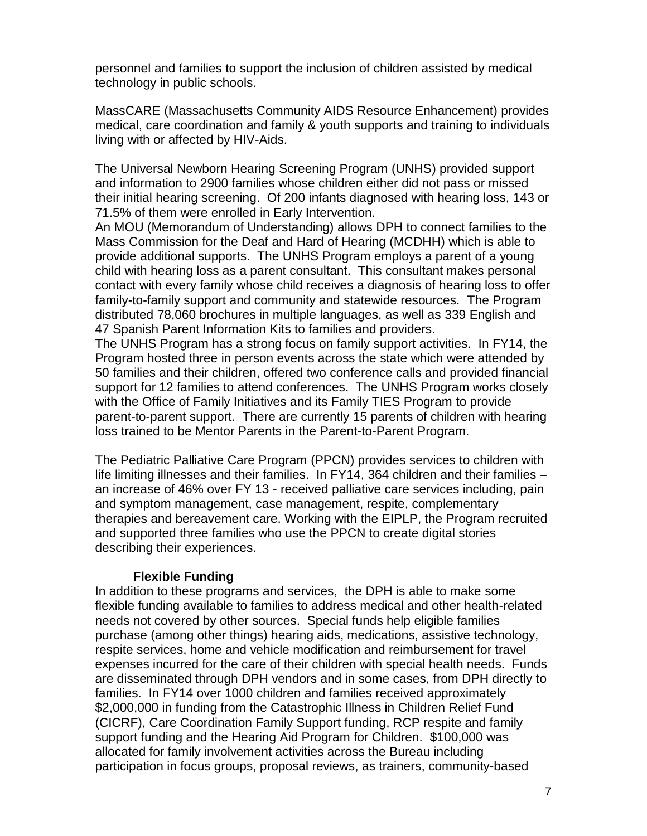personnel and families to support the inclusion of children assisted by medical technology in public schools.

MassCARE (Massachusetts Community AIDS Resource Enhancement) provides medical, care coordination and family & youth supports and training to individuals living with or affected by HIV-Aids.

The Universal Newborn Hearing Screening Program (UNHS) provided support and information to 2900 families whose children either did not pass or missed their initial hearing screening. Of 200 infants diagnosed with hearing loss, 143 or 71.5% of them were enrolled in Early Intervention.

An MOU (Memorandum of Understanding) allows DPH to connect families to the Mass Commission for the Deaf and Hard of Hearing (MCDHH) which is able to provide additional supports. The UNHS Program employs a parent of a young child with hearing loss as a parent consultant. This consultant makes personal contact with every family whose child receives a diagnosis of hearing loss to offer family-to-family support and community and statewide resources. The Program distributed 78,060 brochures in multiple languages, as well as 339 English and 47 Spanish Parent Information Kits to families and providers.

The UNHS Program has a strong focus on family support activities. In FY14, the Program hosted three in person events across the state which were attended by 50 families and their children, offered two conference calls and provided financial support for 12 families to attend conferences. The UNHS Program works closely with the Office of Family Initiatives and its Family TIES Program to provide parent-to-parent support. There are currently 15 parents of children with hearing loss trained to be Mentor Parents in the Parent-to-Parent Program.

The Pediatric Palliative Care Program (PPCN) provides services to children with life limiting illnesses and their families. In FY14, 364 children and their families – an increase of 46% over FY 13 - received palliative care services including, pain and symptom management, case management, respite, complementary therapies and bereavement care. Working with the EIPLP, the Program recruited and supported three families who use the PPCN to create digital stories describing their experiences.

#### **Flexible Funding**

In addition to these programs and services, the DPH is able to make some flexible funding available to families to address medical and other health-related needs not covered by other sources. Special funds help eligible families purchase (among other things) hearing aids, medications, assistive technology, respite services, home and vehicle modification and reimbursement for travel expenses incurred for the care of their children with special health needs. Funds are disseminated through DPH vendors and in some cases, from DPH directly to families. In FY14 over 1000 children and families received approximately \$2,000,000 in funding from the Catastrophic Illness in Children Relief Fund (CICRF), Care Coordination Family Support funding, RCP respite and family support funding and the Hearing Aid Program for Children. \$100,000 was allocated for family involvement activities across the Bureau including participation in focus groups, proposal reviews, as trainers, community-based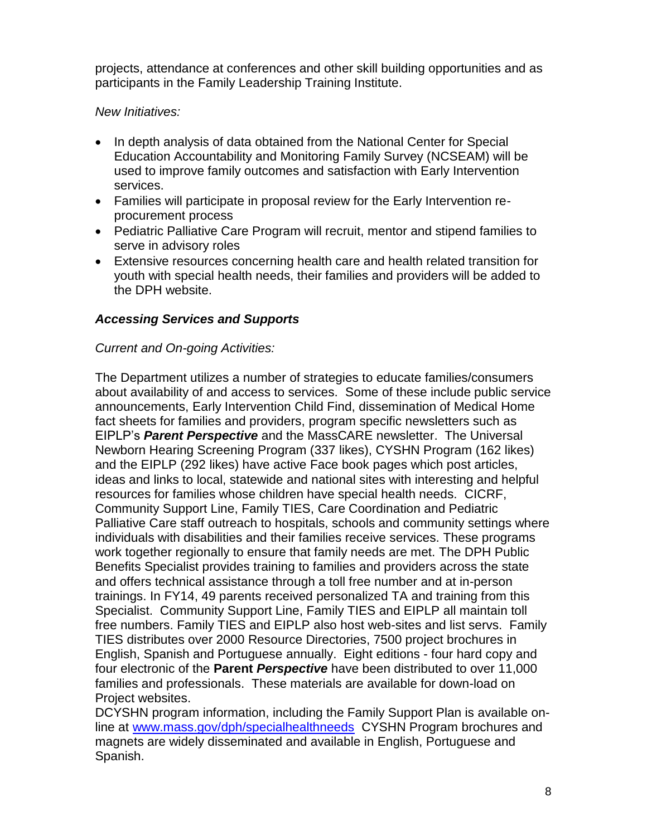projects, attendance at conferences and other skill building opportunities and as participants in the Family Leadership Training Institute.

## *New Initiatives:*

- In depth analysis of data obtained from the National Center for Special Education Accountability and Monitoring Family Survey (NCSEAM) will be used to improve family outcomes and satisfaction with Early Intervention services.
- Families will participate in proposal review for the Early Intervention reprocurement process
- Pediatric Palliative Care Program will recruit, mentor and stipend families to serve in advisory roles
- Extensive resources concerning health care and health related transition for youth with special health needs, their families and providers will be added to the DPH website.

## *Accessing Services and Supports*

## *Current and On-going Activities:*

The Department utilizes a number of strategies to educate families/consumers about availability of and access to services. Some of these include public service announcements, Early Intervention Child Find, dissemination of Medical Home fact sheets for families and providers, program specific newsletters such as EIPLP's *Parent Perspective* and the MassCARE newsletter. The Universal Newborn Hearing Screening Program (337 likes), CYSHN Program (162 likes) and the EIPLP (292 likes) have active Face book pages which post articles, ideas and links to local, statewide and national sites with interesting and helpful resources for families whose children have special health needs. CICRF, Community Support Line, Family TIES, Care Coordination and Pediatric Palliative Care staff outreach to hospitals, schools and community settings where individuals with disabilities and their families receive services. These programs work together regionally to ensure that family needs are met. The DPH Public Benefits Specialist provides training to families and providers across the state and offers technical assistance through a toll free number and at in-person trainings. In FY14, 49 parents received personalized TA and training from this Specialist. Community Support Line, Family TIES and EIPLP all maintain toll free numbers. Family TIES and EIPLP also host web-sites and list servs. Family TIES distributes over 2000 Resource Directories, 7500 project brochures in English, Spanish and Portuguese annually. Eight editions - four hard copy and four electronic of the **Parent** *Perspective* have been distributed to over 11,000 families and professionals. These materials are available for down-load on Project websites.

DCYSHN program information, including the Family Support Plan is available online at [www.mass.gov/dph/specialhealthneeds](http://www.mass.gov/dph/specialhealthneeds) CYSHN Program brochures and magnets are widely disseminated and available in English, Portuguese and Spanish.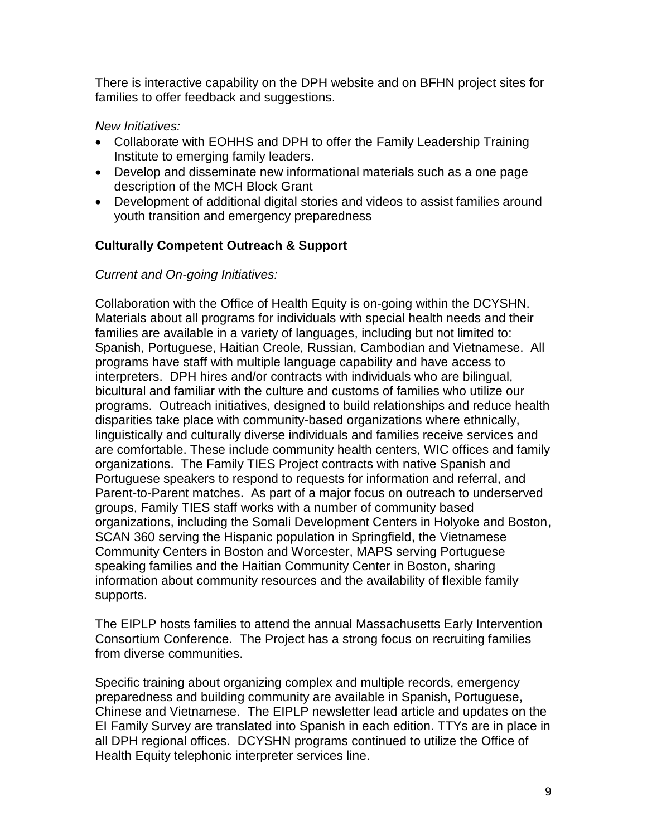There is interactive capability on the DPH website and on BFHN project sites for families to offer feedback and suggestions.

## *New Initiatives:*

- Collaborate with EOHHS and DPH to offer the Family Leadership Training Institute to emerging family leaders.
- Develop and disseminate new informational materials such as a one page description of the MCH Block Grant
- Development of additional digital stories and videos to assist families around youth transition and emergency preparedness

# **Culturally Competent Outreach & Support**

## *Current and On-going Initiatives:*

Collaboration with the Office of Health Equity is on-going within the DCYSHN. Materials about all programs for individuals with special health needs and their families are available in a variety of languages, including but not limited to: Spanish, Portuguese, Haitian Creole, Russian, Cambodian and Vietnamese. All programs have staff with multiple language capability and have access to interpreters. DPH hires and/or contracts with individuals who are bilingual, bicultural and familiar with the culture and customs of families who utilize our programs. Outreach initiatives, designed to build relationships and reduce health disparities take place with community-based organizations where ethnically, linguistically and culturally diverse individuals and families receive services and are comfortable. These include community health centers, WIC offices and family organizations. The Family TIES Project contracts with native Spanish and Portuguese speakers to respond to requests for information and referral, and Parent-to-Parent matches. As part of a major focus on outreach to underserved groups, Family TIES staff works with a number of community based organizations, including the Somali Development Centers in Holyoke and Boston, SCAN 360 serving the Hispanic population in Springfield, the Vietnamese Community Centers in Boston and Worcester, MAPS serving Portuguese speaking families and the Haitian Community Center in Boston, sharing information about community resources and the availability of flexible family supports.

The EIPLP hosts families to attend the annual Massachusetts Early Intervention Consortium Conference. The Project has a strong focus on recruiting families from diverse communities.

Specific training about organizing complex and multiple records, emergency preparedness and building community are available in Spanish, Portuguese, Chinese and Vietnamese. The EIPLP newsletter lead article and updates on the EI Family Survey are translated into Spanish in each edition. TTYs are in place in all DPH regional offices. DCYSHN programs continued to utilize the Office of Health Equity telephonic interpreter services line.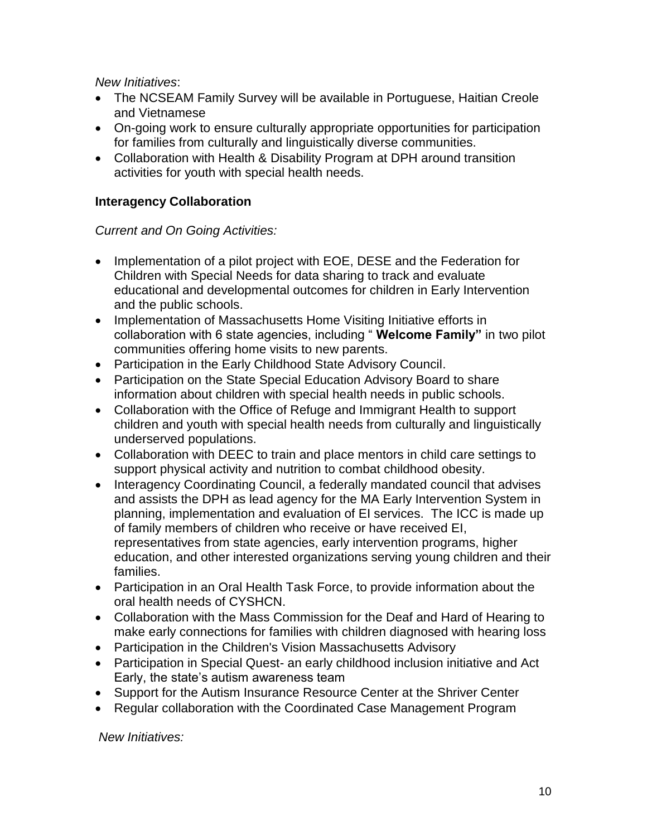*New Initiatives*:

- The NCSEAM Family Survey will be available in Portuguese, Haitian Creole and Vietnamese
- On-going work to ensure culturally appropriate opportunities for participation for families from culturally and linguistically diverse communities.
- Collaboration with Health & Disability Program at DPH around transition activities for youth with special health needs.

# **Interagency Collaboration**

## *Current and On Going Activities:*

- Implementation of a pilot project with EOE, DESE and the Federation for Children with Special Needs for data sharing to track and evaluate educational and developmental outcomes for children in Early Intervention and the public schools.
- Implementation of Massachusetts Home Visiting Initiative efforts in collaboration with 6 state agencies, including " **Welcome Family"** in two pilot communities offering home visits to new parents.
- Participation in the Early Childhood State Advisory Council.
- Participation on the State Special Education Advisory Board to share information about children with special health needs in public schools.
- Collaboration with the Office of Refuge and Immigrant Health to support children and youth with special health needs from culturally and linguistically underserved populations.
- Collaboration with DEEC to train and place mentors in child care settings to support physical activity and nutrition to combat childhood obesity.
- Interagency Coordinating Council, a federally mandated council that advises and assists the DPH as lead agency for the MA Early Intervention System in planning, implementation and evaluation of EI services. The ICC is made up of family members of children who receive or have received EI, representatives from state agencies, early intervention programs, higher education, and other interested organizations serving young children and their families.
- Participation in an Oral Health Task Force, to provide information about the oral health needs of CYSHCN.
- Collaboration with the Mass Commission for the Deaf and Hard of Hearing to make early connections for families with children diagnosed with hearing loss
- Participation in the Children's Vision Massachusetts Advisory
- Participation in Special Quest- an early childhood inclusion initiative and Act Early, the state's autism awareness team
- Support for the Autism Insurance Resource Center at the Shriver Center
- Regular collaboration with the Coordinated Case Management Program

*New Initiatives:*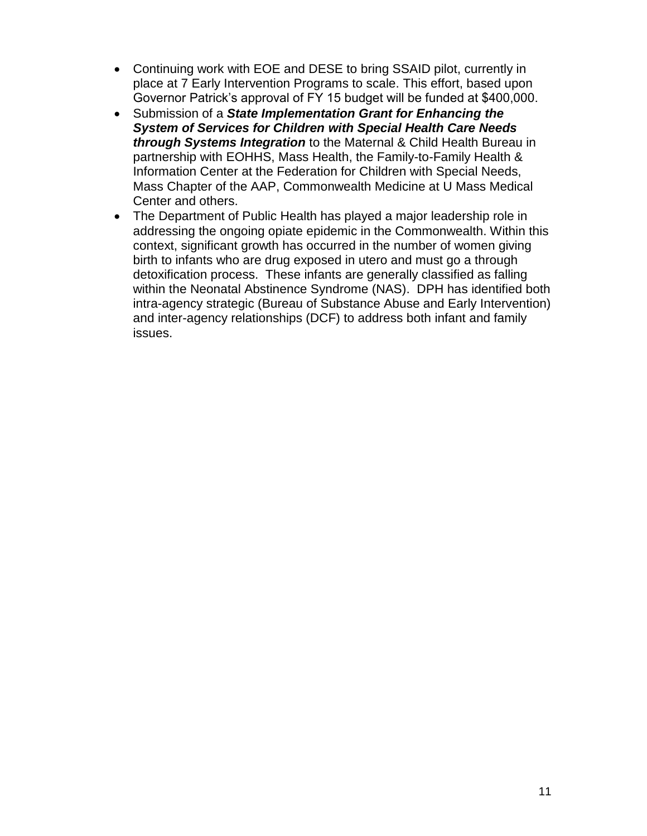- Continuing work with EOE and DESE to bring SSAID pilot, currently in place at 7 Early Intervention Programs to scale. This effort, based upon Governor Patrick's approval of FY 15 budget will be funded at \$400,000.
- Submission of a *State Implementation Grant for Enhancing the System of Services for Children with Special Health Care Needs through Systems Integration* to the Maternal & Child Health Bureau in partnership with EOHHS, Mass Health, the Family-to-Family Health & Information Center at the Federation for Children with Special Needs, Mass Chapter of the AAP, Commonwealth Medicine at U Mass Medical Center and others.
- The Department of Public Health has played a major leadership role in addressing the ongoing opiate epidemic in the Commonwealth. Within this context, significant growth has occurred in the number of women giving birth to infants who are drug exposed in utero and must go a through detoxification process. These infants are generally classified as falling within the Neonatal Abstinence Syndrome (NAS). DPH has identified both intra-agency strategic (Bureau of Substance Abuse and Early Intervention) and inter-agency relationships (DCF) to address both infant and family issues.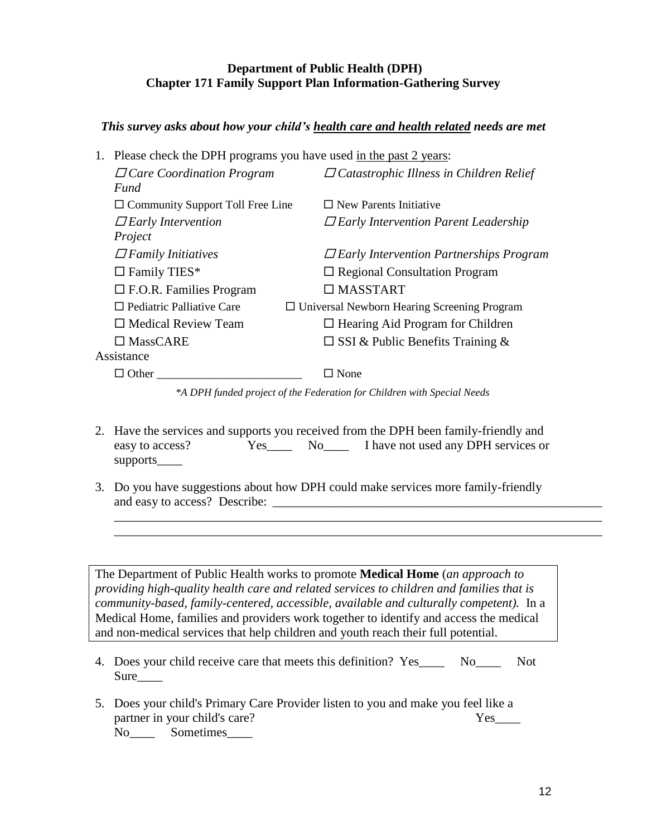### **Department of Public Health (DPH) Chapter 171 Family Support Plan Information-Gathering Survey**

### *This survey asks about how your child's health care and health related needs are met*

1. Please check the DPH programs you have used in the past 2 years:

| $\Box$ Care Coordination Program        | $\Box$ Catastrophic Illness in Children Relief     |
|-----------------------------------------|----------------------------------------------------|
| Fund                                    |                                                    |
| $\Box$ Community Support Toll Free Line | $\Box$ New Parents Initiative                      |
| $\Box$ Early Intervention               | $\Box$ Early Intervention Parent Leadership        |
| Project                                 |                                                    |
| $\Box$ Family Initiatives               | $\Box$ Early Intervention Partnerships Program     |
| $\Box$ Family TIES*                     | $\Box$ Regional Consultation Program               |
| $\Box$ F.O.R. Families Program          | $\Box$ MASSTART                                    |
| $\Box$ Pediatric Palliative Care        | $\Box$ Universal Newborn Hearing Screening Program |
| $\Box$ Medical Review Team              | $\Box$ Hearing Aid Program for Children            |
| $\Box$ MassCARE                         | $\square$ SSI & Public Benefits Training &         |
| Assistance                              |                                                    |
| Other                                   | $\Box$ None                                        |

*\*A DPH funded project of the Federation for Children with Special Needs*

- 2. Have the services and supports you received from the DPH been family-friendly and easy to access?<br>The No Let I have not used any DPH services or supports
- 3. Do you have suggestions about how DPH could make services more family-friendly and easy to access? Describe:

\_\_\_\_\_\_\_\_\_\_\_\_\_\_\_\_\_\_\_\_\_\_\_\_\_\_\_\_\_\_\_\_\_\_\_\_\_\_\_\_\_\_\_\_\_\_\_\_\_\_\_\_\_\_\_\_\_\_\_\_\_\_\_\_\_\_\_\_\_\_\_\_\_\_\_\_\_ \_\_\_\_\_\_\_\_\_\_\_\_\_\_\_\_\_\_\_\_\_\_\_\_\_\_\_\_\_\_\_\_\_\_\_\_\_\_\_\_\_\_\_\_\_\_\_\_\_\_\_\_\_\_\_\_\_\_\_\_\_\_\_\_\_\_\_\_\_\_\_\_\_\_\_\_\_

The Department of Public Health works to promote **Medical Home** (*an approach to providing high-quality health care and related services to children and families that is community-based, family-centered, accessible, available and culturally competent).*In a Medical Home, families and providers work together to identify and access the medical and non-medical services that help children and youth reach their full potential.

- 4. Does your child receive care that meets this definition? Yes\_\_\_\_ No\_\_\_\_ Not Sure\_\_\_\_
- 5. Does your child's Primary Care Provider listen to you and make you feel like a partner in your child's care? Yes No Sometimes

12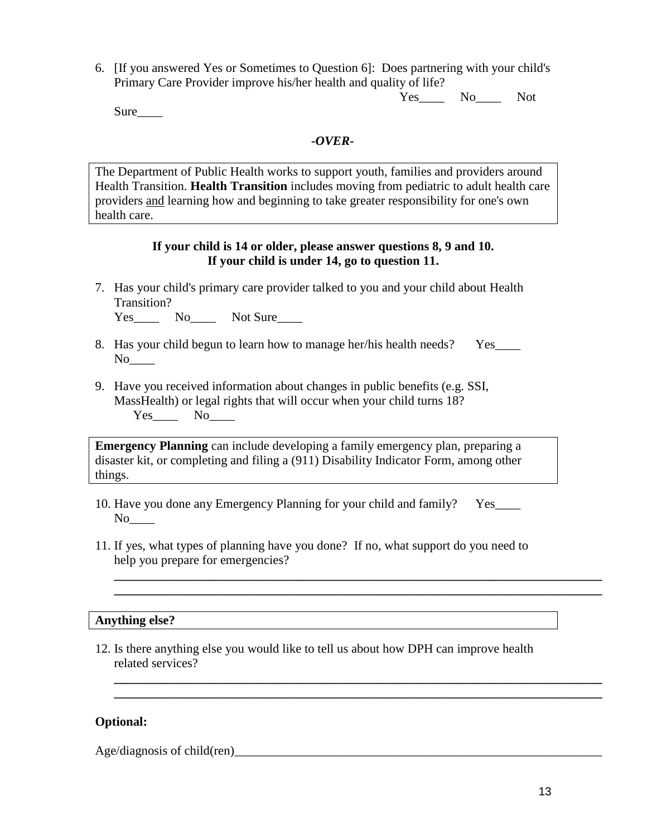6. [If you answered Yes or Sometimes to Question 6]: Does partnering with your child's Primary Care Provider improve his/her health and quality of life?

Yes\_\_\_\_\_ No\_\_\_\_\_ Not

Sure

#### *-OVER-*

The Department of Public Health works to support youth, families and providers around Health Transition. **Health Transition** includes moving from pediatric to adult health care providers and learning how and beginning to take greater responsibility for one's own health care.

#### **If your child is 14 or older, please answer questions 8, 9 and 10. If your child is under 14, go to question 11.**

7. Has your child's primary care provider talked to you and your child about Health Transition?

Yes\_\_\_\_ No\_\_\_\_ Not Sure\_\_\_\_

- 8. Has your child begun to learn how to manage her/his health needs? Yes No<sub>l</sub>
- 9. Have you received information about changes in public benefits (e.g. SSI, MassHealth) or legal rights that will occur when your child turns 18? Yes\_\_\_\_\_\_ No\_\_\_\_\_

**Emergency Planning** can include developing a family emergency plan, preparing a disaster kit, or completing and filing a (911) Disability Indicator Form, among other things.

- 10. Have you done any Emergency Planning for your child and family? Yes\_\_\_\_ No<sub>l</sub>
- 11. If yes, what types of planning have you done? If no, what support do you need to help you prepare for emergencies?

**\_\_\_\_\_\_\_\_\_\_\_\_\_\_\_\_\_\_\_\_\_\_\_\_\_\_\_\_\_\_\_\_\_\_\_\_\_\_\_\_\_\_\_\_\_\_\_\_\_\_\_\_\_\_\_\_\_\_\_\_\_\_\_\_\_\_\_\_\_\_\_\_\_\_\_\_\_ \_\_\_\_\_\_\_\_\_\_\_\_\_\_\_\_\_\_\_\_\_\_\_\_\_\_\_\_\_\_\_\_\_\_\_\_\_\_\_\_\_\_\_\_\_\_\_\_\_\_\_\_\_\_\_\_\_\_\_\_\_\_\_\_\_\_\_\_\_\_\_\_\_\_\_\_\_**

**\_\_\_\_\_\_\_\_\_\_\_\_\_\_\_\_\_\_\_\_\_\_\_\_\_\_\_\_\_\_\_\_\_\_\_\_\_\_\_\_\_\_\_\_\_\_\_\_\_\_\_\_\_\_\_\_\_\_\_\_\_\_\_\_\_\_\_\_\_\_\_\_\_\_\_\_\_ \_\_\_\_\_\_\_\_\_\_\_\_\_\_\_\_\_\_\_\_\_\_\_\_\_\_\_\_\_\_\_\_\_\_\_\_\_\_\_\_\_\_\_\_\_\_\_\_\_\_\_\_\_\_\_\_\_\_\_\_\_\_\_\_\_\_\_\_\_\_\_\_\_\_\_\_\_**

#### **Anything else?**

12. Is there anything else you would like to tell us about how DPH can improve health related services?

#### **Optional:**

Age/diagnosis of child(ren)